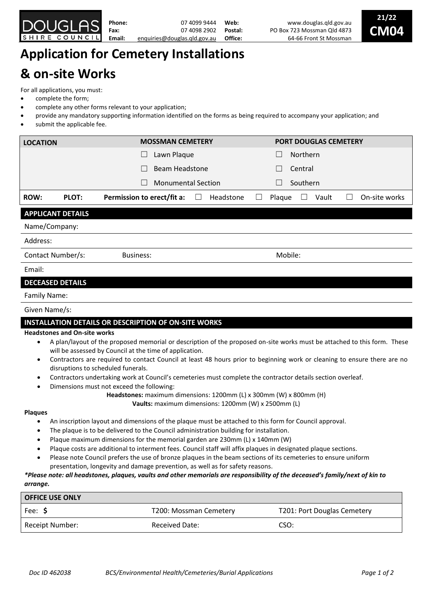

# **Application for Cemetery Installations & on-site Works**

For all applications, you must:

- complete the form;
- complete any other forms relevant to your application;
- provide any mandatory supporting information identified on the forms as being required to accompany your application; and
- submit the applicable fee.

| <b>LOCATION</b>          |       | <b>MOSSMAN CEMETERY</b>     |                | <b>PORT DOUGLAS CEMETERY</b>                   |                               |
|--------------------------|-------|-----------------------------|----------------|------------------------------------------------|-------------------------------|
|                          |       | Lawn Plaque<br>$\mathbf{L}$ |                | <b>Northern</b><br>$\Box$                      |                               |
|                          |       | Beam Headstone              |                | Central<br>$\Box$                              |                               |
|                          |       | <b>Monumental Section</b>   |                | Southern<br>$\Box$                             |                               |
| <b>ROW:</b>              | PLOT: | Permission to erect/fit a:  | Headstone<br>⊔ | Plaque<br>Vault<br>$\mathcal{L}_{\mathcal{A}}$ | On-site works<br>$\mathbf{L}$ |
| <b>APPLICANT DETAILS</b> |       |                             |                |                                                |                               |
| Name/Company:            |       |                             |                |                                                |                               |
| Address:                 |       |                             |                |                                                |                               |
| Contact Number/s:        |       | <b>Business:</b>            |                | Mobile:                                        |                               |
| Email:                   |       |                             |                |                                                |                               |

## **DECEASED DETAILS**

#### Family Name:

### Given Name/s:

## **INSTALLATION DETAILS OR DESCRIPTION OF ON-SITE WORKS**

#### **Headstones and On-site works**

- A plan/layout of the proposed memorial or description of the proposed on-site works must be attached to this form. These will be assessed by Council at the time of application.
- Contractors are required to contact Council at least 48 hours prior to beginning work or cleaning to ensure there are no disruptions to scheduled funerals.
- Contractors undertaking work at Council's cemeteries must complete the contractor details section overleaf.
- Dimensions must not exceed the following:
	- **Headstones:** maximum dimensions: 1200mm (L) x 300mm (W) x 800mm (H)

**Vaults:** maximum dimensions: 1200mm (W) x 2500mm (L)

#### **Plaques**

- An inscription layout and dimensions of the plaque must be attached to this form for Council approval.
- The plaque is to be delivered to the Council administration building for installation.
- Plaque maximum dimensions for the memorial garden are 230mm (L) x 140mm (W)
- Plaque costs are additional to interment fees. Council staff will affix plaques in designated plaque sections.
- Please note Council prefers the use of bronze plaques in the beam sections of its cemeteries to ensure uniform presentation, longevity and damage prevention, as well as for safety reasons.

## *\*Please note: all headstones, plaques, vaults and other memorials are responsibility of the deceased's family/next of kin to arrange.*

| <b>OFFICE USE ONLY</b> |                        |                             |  |  |  |
|------------------------|------------------------|-----------------------------|--|--|--|
| Fee: \$                | T200: Mossman Cemetery | T201: Port Douglas Cemetery |  |  |  |
| Receipt Number:        | <b>Received Date:</b>  | CSO:                        |  |  |  |